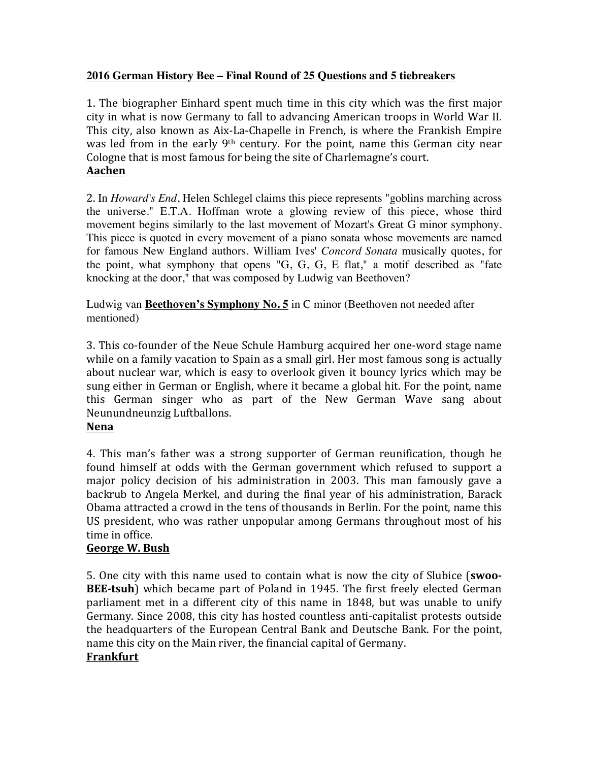#### **2016 German History Bee – Final Round of 25 Questions and 5 tiebreakers**

1. The biographer Einhard spent much time in this city which was the first major city in what is now Germany to fall to advancing American troops in World War II. This city, also known as Aix-La-Chapelle in French, is where the Frankish Empire was led from in the early  $9<sup>th</sup>$  century. For the point, name this German city near Cologne that is most famous for being the site of Charlemagne's court. **Aachen**

2. In *Howard's End*, Helen Schlegel claims this piece represents "goblins marching across the universe." E.T.A. Hoffman wrote a glowing review of this piece, whose third movement begins similarly to the last movement of Mozart's Great G minor symphony. This piece is quoted in every movement of a piano sonata whose movements are named for famous New England authors. William Ives' *Concord Sonata* musically quotes, for the point, what symphony that opens "G, G, G, E flat," a motif described as "fate knocking at the door," that was composed by Ludwig van Beethoven?

Ludwig van **Beethoven's Symphony No. 5** in C minor (Beethoven not needed after mentioned)

3. This co-founder of the Neue Schule Hamburg acquired her one-word stage name while on a family vacation to Spain as a small girl. Her most famous song is actually about nuclear war, which is easy to overlook given it bouncy lyrics which may be sung either in German or English, where it became a global hit. For the point, name this German singer who as part of the New German Wave sang about Neunundneunzig Luftballons.

#### **Nena**

4. This man's father was a strong supporter of German reunification, though he found himself at odds with the German government which refused to support a major policy decision of his administration in 2003. This man famously gave a backrub to Angela Merkel, and during the final year of his administration, Barack Obama attracted a crowd in the tens of thousands in Berlin. For the point, name this US president, who was rather unpopular among Germans throughout most of his time in office.

# **George W. Bush**

5. One city with this name used to contain what is now the city of Slubice (swoo-**BEE-tsuh**) which became part of Poland in 1945. The first freely elected German parliament met in a different city of this name in 1848, but was unable to unify Germany. Since 2008, this city has hosted countless anti-capitalist protests outside the headquarters of the European Central Bank and Deutsche Bank. For the point, name this city on the Main river, the financial capital of Germany.

#### **Frankfurt**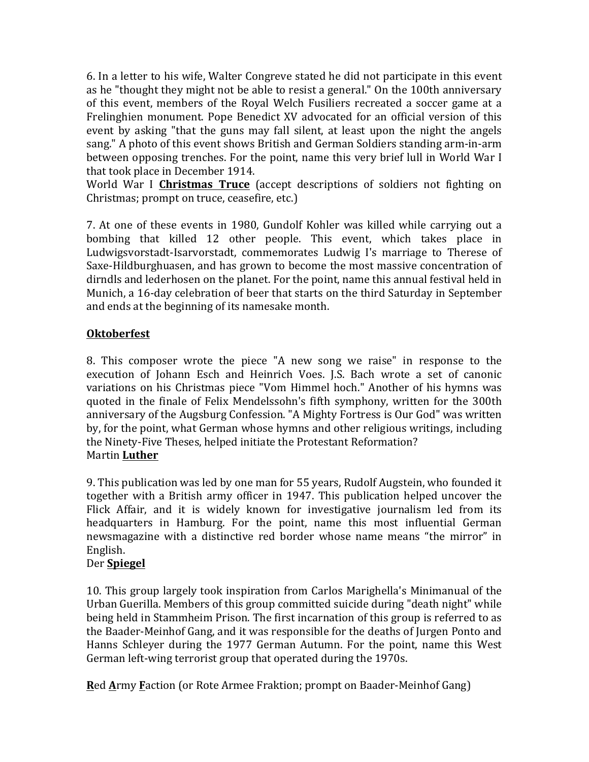6. In a letter to his wife, Walter Congreve stated he did not participate in this event as he "thought they might not be able to resist a general." On the 100th anniversary of this event, members of the Royal Welch Fusiliers recreated a soccer game at a Frelinghien monument. Pope Benedict XV advocated for an official version of this event by asking "that the guns may fall silent, at least upon the night the angels sang." A photo of this event shows British and German Soldiers standing arm-in-arm between opposing trenches. For the point, name this very brief lull in World War I that took place in December 1914.

World War I **Christmas Truce** (accept descriptions of soldiers not fighting on Christmas; prompt on truce, ceasefire, etc.)

7. At one of these events in 1980, Gundolf Kohler was killed while carrying out a bombing that killed 12 other people. This event, which takes place in Ludwigsvorstadt-Isarvorstadt, commemorates Ludwig I's marriage to Therese of Saxe-Hildburghuasen, and has grown to become the most massive concentration of dirndls and lederhosen on the planet. For the point, name this annual festival held in Munich, a 16-day celebration of beer that starts on the third Saturday in September and ends at the beginning of its namesake month.

# **Oktoberfest**

8. This composer wrote the piece "A new song we raise" in response to the execution of Johann Esch and Heinrich Voes. J.S. Bach wrote a set of canonic variations on his Christmas piece "Vom Himmel hoch." Another of his hymns was quoted in the finale of Felix Mendelssohn's fifth symphony, written for the 300th anniversary of the Augsburg Confession. "A Mighty Fortress is Our God" was written by, for the point, what German whose hymns and other religious writings, including the Ninety-Five Theses, helped initiate the Protestant Reformation? Martin **Luther**

9. This publication was led by one man for 55 years. Rudolf Augstein, who founded it together with a British army officer in 1947. This publication helped uncover the Flick Affair, and it is widely known for investigative journalism led from its headquarters in Hamburg. For the point, name this most influential German newsmagazine with a distinctive red border whose name means "the mirror" in English.

# Der **Spiegel**

10. This group largely took inspiration from Carlos Marighella's Minimanual of the Urban Guerilla. Members of this group committed suicide during "death night" while being held in Stammheim Prison. The first incarnation of this group is referred to as the Baader-Meinhof Gang, and it was responsible for the deaths of Jurgen Ponto and Hanns Schleyer during the 1977 German Autumn. For the point, name this West German left-wing terrorist group that operated during the 1970s.

**Red Army Faction (or Rote Armee Fraktion; prompt on Baader-Meinhof Gang)**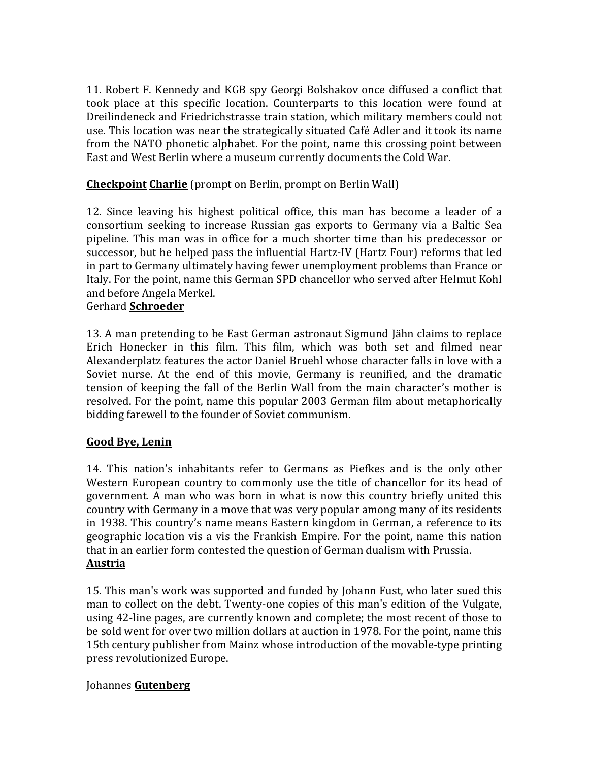11. Robert F. Kennedy and KGB spy Georgi Bolshakov once diffused a conflict that took place at this specific location. Counterparts to this location were found at Dreilindeneck and Friedrichstrasse train station, which military members could not use. This location was near the strategically situated Café Adler and it took its name from the NATO phonetic alphabet. For the point, name this crossing point between East and West Berlin where a museum currently documents the Cold War.

## **Checkpoint Charlie** (prompt on Berlin, prompt on Berlin Wall)

12. Since leaving his highest political office, this man has become a leader of a consortium seeking to increase Russian gas exports to Germany via a Baltic Sea pipeline. This man was in office for a much shorter time than his predecessor or successor, but he helped pass the influential Hartz-IV (Hartz Four) reforms that led in part to Germany ultimately having fewer unemployment problems than France or Italy. For the point, name this German SPD chancellor who served after Helmut Kohl and before Angela Merkel.

#### Gerhard **Schroeder**

13. A man pretending to be East German astronaut Sigmund Jähn claims to replace Erich Honecker in this film. This film, which was both set and filmed near Alexanderplatz features the actor Daniel Bruehl whose character falls in love with a Soviet nurse. At the end of this movie, Germany is reunified, and the dramatic tension of keeping the fall of the Berlin Wall from the main character's mother is resolved. For the point, name this popular 2003 German film about metaphorically bidding farewell to the founder of Soviet communism.

#### **Good Bye, Lenin**

14. This nation's inhabitants refer to Germans as Piefkes and is the only other Western European country to commonly use the title of chancellor for its head of government. A man who was born in what is now this country briefly united this country with Germany in a move that was very popular among many of its residents in 1938. This country's name means Eastern kingdom in German, a reference to its geographic location vis a vis the Frankish Empire. For the point, name this nation that in an earlier form contested the question of German dualism with Prussia. **Austria**

15. This man's work was supported and funded by Johann Fust, who later sued this man to collect on the debt. Twenty-one copies of this man's edition of the Vulgate, using 42-line pages, are currently known and complete; the most recent of those to be sold went for over two million dollars at auction in 1978. For the point, name this 15th century publisher from Mainz whose introduction of the movable-type printing press revolutionized Europe.

#### Johannes **Gutenberg**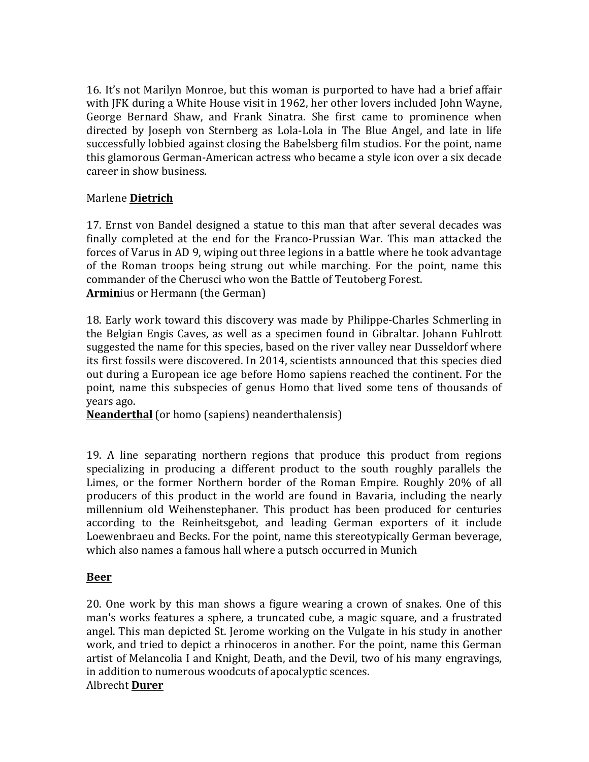16. It's not Marilyn Monroe, but this woman is purported to have had a brief affair with JFK during a White House visit in 1962, her other lovers included John Wayne, George Bernard Shaw, and Frank Sinatra. She first came to prominence when directed by Joseph von Sternberg as Lola-Lola in The Blue Angel, and late in life successfully lobbied against closing the Babelsberg film studios. For the point, name this glamorous German-American actress who became a style icon over a six decade career in show business.

#### Marlene **Dietrich**

17. Ernst von Bandel designed a statue to this man that after several decades was finally completed at the end for the Franco-Prussian War. This man attacked the forces of Varus in AD 9, wiping out three legions in a battle where he took advantage of the Roman troops being strung out while marching. For the point, name this commander of the Cherusci who won the Battle of Teutoberg Forest. **Arminius or Hermann (the German)** 

18. Early work toward this discovery was made by Philippe-Charles Schmerling in the Belgian Engis Caves, as well as a specimen found in Gibraltar. Johann Fuhlrott suggested the name for this species, based on the river valley near Dusseldorf where its first fossils were discovered. In 2014, scientists announced that this species died out during a European ice age before Homo sapiens reached the continent. For the point, name this subspecies of genus Homo that lived some tens of thousands of years ago.

**Neanderthal** (or homo (sapiens) neanderthalensis)

19. A line separating northern regions that produce this product from regions specializing in producing a different product to the south roughly parallels the Limes, or the former Northern border of the Roman Empire. Roughly 20% of all producers of this product in the world are found in Bavaria, including the nearly millennium old Weihenstephaner. This product has been produced for centuries according to the Reinheitsgebot, and leading German exporters of it include Loewenbraeu and Becks. For the point, name this stereotypically German beverage, which also names a famous hall where a putsch occurred in Munich

#### **Beer**

20. One work by this man shows a figure wearing a crown of snakes. One of this man's works features a sphere, a truncated cube, a magic square, and a frustrated angel. This man depicted St. Jerome working on the Vulgate in his study in another work, and tried to depict a rhinoceros in another. For the point, name this German artist of Melancolia I and Knight, Death, and the Devil, two of his many engravings, in addition to numerous woodcuts of apocalyptic scences. Albrecht **Durer**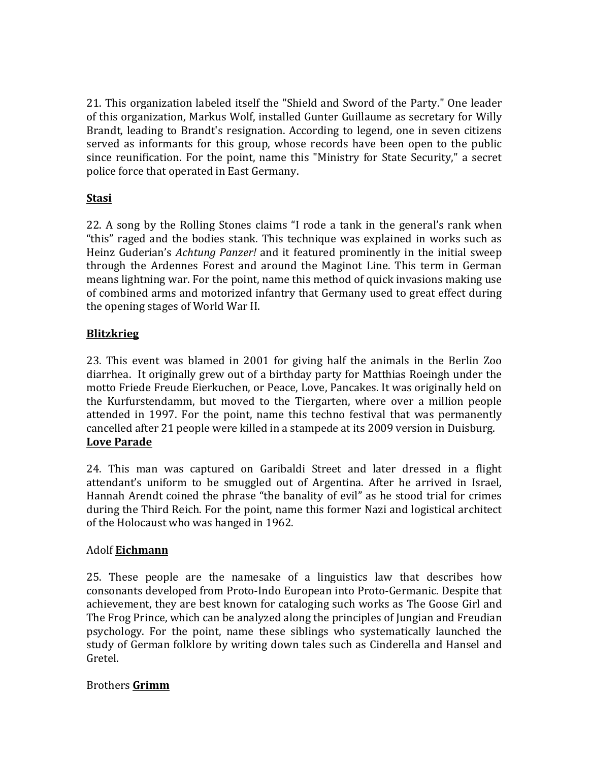21. This organization labeled itself the "Shield and Sword of the Party." One leader of this organization, Markus Wolf, installed Gunter Guillaume as secretary for Willy Brandt, leading to Brandt's resignation. According to legend, one in seven citizens served as informants for this group, whose records have been open to the public since reunification. For the point, name this "Ministry for State Security," a secret police force that operated in East Germany.

# **Stasi**

22. A song by the Rolling Stones claims "I rode a tank in the general's rank when "this" raged and the bodies stank. This technique was explained in works such as Heinz Guderian's *Achtung Panzer!* and it featured prominently in the initial sweep through the Ardennes Forest and around the Maginot Line. This term in German means lightning war. For the point, name this method of quick invasions making use of combined arms and motorized infantry that Germany used to great effect during the opening stages of World War II.

### **Blitzkrieg**

23. This event was blamed in 2001 for giving half the animals in the Berlin Zoo diarrhea. It originally grew out of a birthday party for Matthias Roeingh under the motto Friede Freude Eierkuchen, or Peace, Love, Pancakes. It was originally held on the Kurfurstendamm, but moved to the Tiergarten, where over a million people attended in 1997. For the point, name this techno festival that was permanently cancelled after 21 people were killed in a stampede at its 2009 version in Duisburg. **Love Parade**

24. This man was captured on Garibaldi Street and later dressed in a flight attendant's uniform to be smuggled out of Argentina. After he arrived in Israel, Hannah Arendt coined the phrase "the banality of evil" as he stood trial for crimes during the Third Reich. For the point, name this former Nazi and logistical architect of the Holocaust who was hanged in 1962.

#### Adolf **Eichmann**

25. These people are the namesake of a linguistics law that describes how consonants developed from Proto-Indo European into Proto-Germanic. Despite that achievement, they are best known for cataloging such works as The Goose Girl and The Frog Prince, which can be analyzed along the principles of Jungian and Freudian psychology. For the point, name these siblings who systematically launched the study of German folklore by writing down tales such as Cinderella and Hansel and Gretel.

#### Brothers **Grimm**